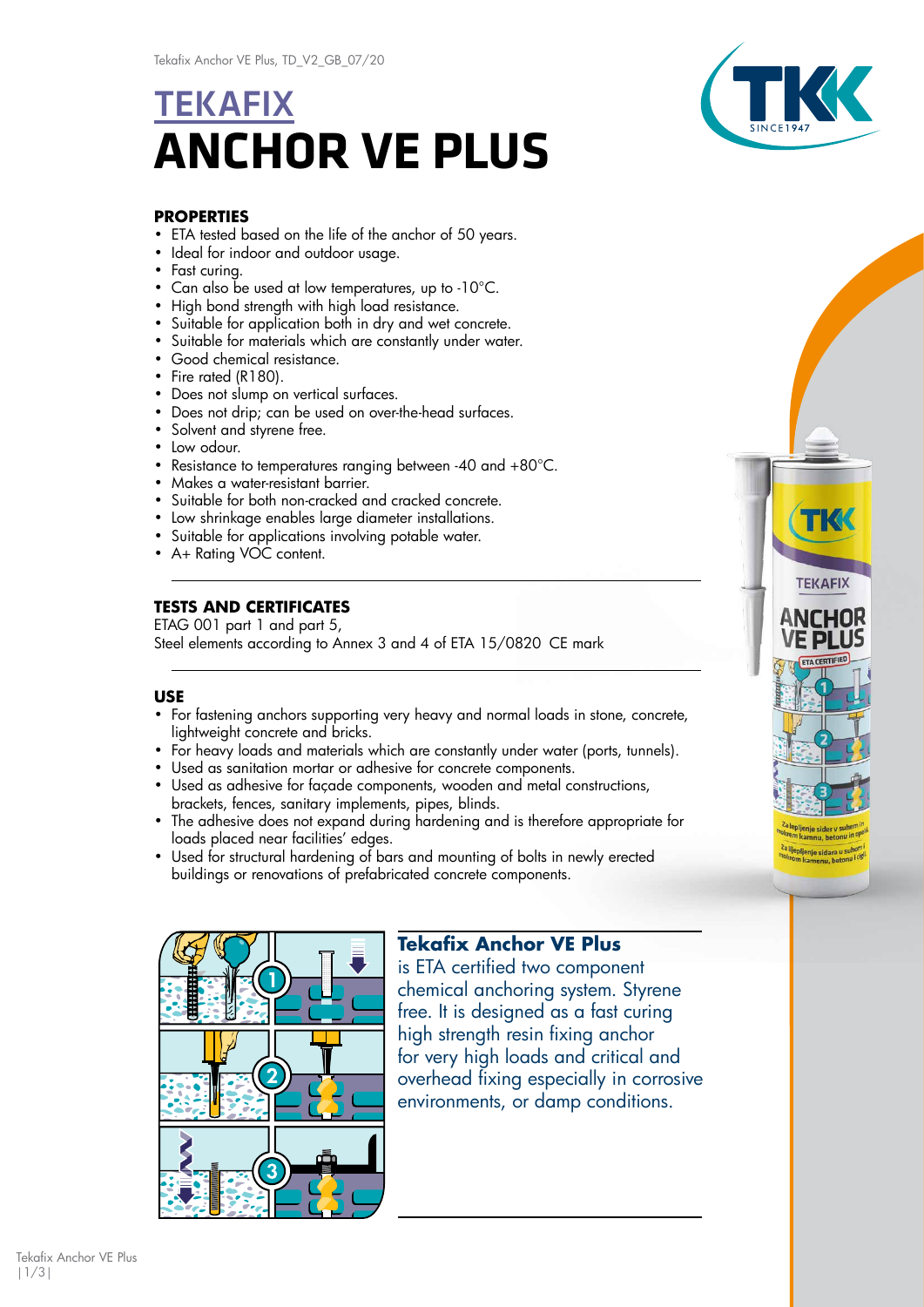# **TEKAFIX ANCHOR VE PLUS**



**TEKAFIX** 

ANCHOR

pljenje sidara u

### **PROPERTIES**

- ETA tested based on the life of the anchor of 50 years.
- Ideal for indoor and outdoor usage.
- Fast curing.
- Can also be used at low temperatures, up to -10°C.
- High bond strength with high load resistance.
- Suitable for application both in dry and wet concrete.
- Suitable for materials which are constantly under water.
- Good chemical resistance.
- Fire rated (R180).
- Does not slump on vertical surfaces.
- Does not drip; can be used on over-the-head surfaces.
- Solvent and styrene free.
- Low odour.
- Resistance to temperatures ranging between -40 and +80°C.
- Makes a water-resistant barrier.
- Suitable for both non-cracked and cracked concrete.
- Low shrinkage enables large diameter installations.
- Suitable for applications involving potable water.
- A+ Rating VOC content.

## **TESTS AND CERTIFICATES**

ETAG 001 part 1 and part 5, Steel elements according to Annex 3 and 4 of ETA 15/0820 CE mark

## **USE**

- For fastening anchors supporting very heavy and normal loads in stone, concrete, lightweight concrete and bricks.
- For heavy loads and materials which are constantly under water (ports, tunnels).
- Used as sanitation mortar or adhesive for concrete components.
- Used as adhesive for façade components, wooden and metal constructions, brackets, fences, sanitary implements, pipes, blinds.
- The adhesive does not expand during hardening and is therefore appropriate for loads placed near facilities' edges.
- Used for structural hardening of bars and mounting of bolts in newly erected buildings or renovations of prefabricated concrete components.



# **Tekafix Anchor VE Plus**

is ETA certified two component chemical anchoring system. Styrene free. It is designed as a fast curing high strength resin fixing anchor for very high loads and critical and overhead fixing especially in corrosive environments, or damp conditions.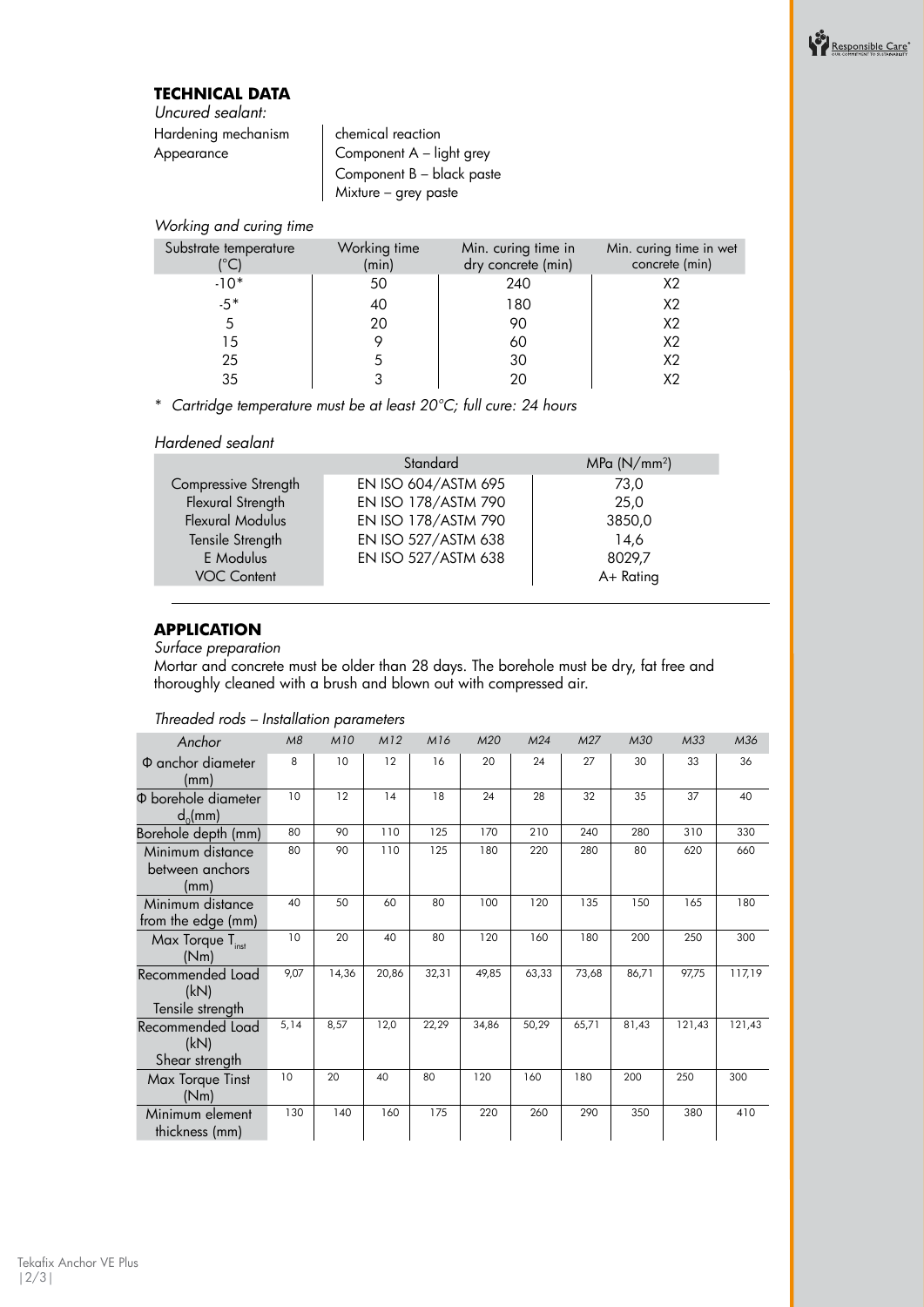# **TECHNICAL DATA**

*Uncured sealant:* Hardening mechanism | chemical reaction

 $\begin{array}{c|c} \text{Appendix} & \text{1} & \text{1} \\ \text{Component A – light grey} \end{array}$ Component B – black paste Mixture – grey paste

#### *Working and curing time*

| Substrate temperature | Working time<br>(min) | Min. curing time in<br>dry concrete (min) | Min. curing time in wet<br>concrete (min) |
|-----------------------|-----------------------|-------------------------------------------|-------------------------------------------|
| $-10*$                | 50                    | 240                                       | X <sub>2</sub>                            |
| $-5*$                 | 40                    | 180                                       | X2                                        |
|                       | 20                    | 90                                        | X2                                        |
| 15                    |                       | 60                                        | X <sub>2</sub>                            |
| 25                    |                       | 30                                        | X <sub>2</sub>                            |
| 35                    |                       |                                           |                                           |

\* *Cartridge temperature must be at least 20°C; full cure: 24 hours*

#### *Hardened sealant*

| Standard            | MPa (N/mm <sup>2</sup> ) |
|---------------------|--------------------------|
| EN ISO 604/ASTM 695 | 73,0                     |
| EN ISO 178/ASTM 790 | 25,0                     |
| EN ISO 178/ASTM 790 | 3850,0                   |
| EN ISO 527/ASTM 638 | 14,6                     |
| EN ISO 527/ASTM 638 | 8029.7                   |
|                     | A+ Rating                |
|                     |                          |

# **APPLICATION**

*Surface preparation*

Mortar and concrete must be older than 28 days. The borehole must be dry, fat free and thoroughly cleaned with a brush and blown out with compressed air.

| Anchor                                       | M8   | <b>M10</b> | M12   | M16   | M20   | M24   | M27   | M30   | M33    | M36    |
|----------------------------------------------|------|------------|-------|-------|-------|-------|-------|-------|--------|--------|
| $\Phi$ anchor diameter<br>(mm)               | 8    | 10         | 12    | 16    | 20    | 24    | 27    | 30    | 33     | 36     |
| Φ borehole diameter<br>$d_0$ (mm)            | 10   | 12         | 14    | 18    | 24    | 28    | 32    | 35    | 37     | 40     |
| Borehole depth (mm)                          | 80   | 90         | 110   | 125   | 170   | 210   | 240   | 280   | 310    | 330    |
| Minimum distance<br>between anchors<br>(mm)  | 80   | 90         | 110   | 125   | 180   | 220   | 280   | 80    | 620    | 660    |
| Minimum distance<br>from the edge (mm)       | 40   | 50         | 60    | 80    | 100   | 120   | 135   | 150   | 165    | 180    |
| Max Torque T <sub>inst</sub><br>(Nm)         | 10   | 20         | 40    | 80    | 120   | 160   | 180   | 200   | 250    | 300    |
| Recommended Load<br>(kN)<br>Tensile strength | 9,07 | 14,36      | 20.86 | 32,31 | 49,85 | 63,33 | 73,68 | 86,71 | 97,75  | 117,19 |
| Recommended Load<br>(kN)<br>Shear strength   | 5,14 | 8,57       | 12,0  | 22,29 | 34,86 | 50,29 | 65,71 | 81,43 | 121,43 | 121,43 |
| Max Torque Tinst<br>(Nm)                     | 10   | 20         | 40    | 80    | 120   | 160   | 180   | 200   | 250    | 300    |
| Minimum element<br>thickness (mm)            | 130  | 140        | 160   | 175   | 220   | 260   | 290   | 350   | 380    | 410    |

#### *Threaded rods – Installation parameters*